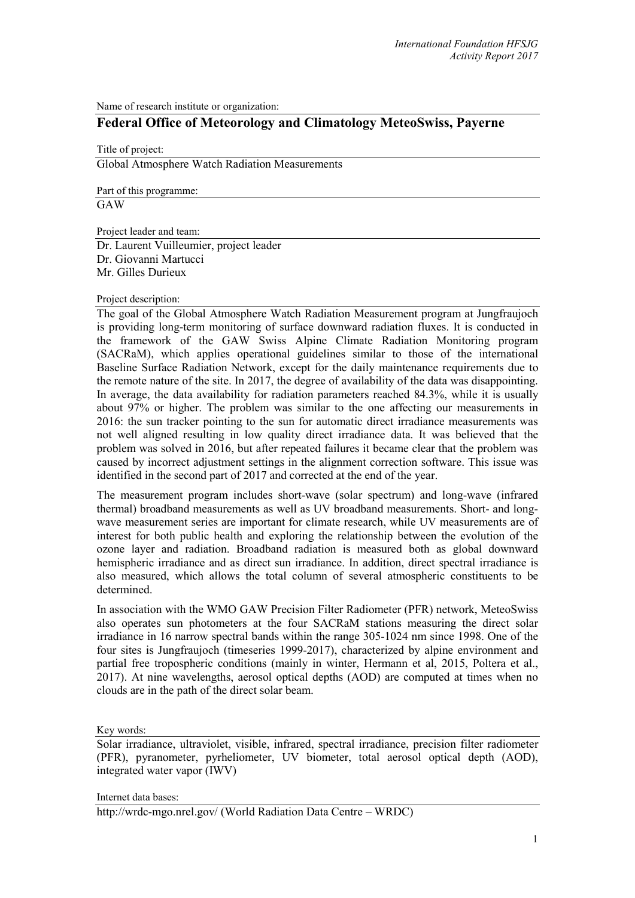Name of research institute or organization:

## **Federal Office of Meteorology and Climatology MeteoSwiss, Payerne**

Title of project: Global Atmosphere Watch Radiation Measurements

Part of this programme:

**GAW** 

Project leader and team:

Dr. Laurent Vuilleumier, project leader Dr. Giovanni Martucci Mr. Gilles Durieux

## Project description:

The goal of the Global Atmosphere Watch Radiation Measurement program at Jungfraujoch is providing long-term monitoring of surface downward radiation fluxes. It is conducted in the framework of the GAW Swiss Alpine Climate Radiation Monitoring program (SACRaM), which applies operational guidelines similar to those of the international Baseline Surface Radiation Network, except for the daily maintenance requirements due to the remote nature of the site. In 2017, the degree of availability of the data was disappointing. In average, the data availability for radiation parameters reached 84.3%, while it is usually about 97% or higher. The problem was similar to the one affecting our measurements in 2016: the sun tracker pointing to the sun for automatic direct irradiance measurements was not well aligned resulting in low quality direct irradiance data. It was believed that the problem was solved in 2016, but after repeated failures it became clear that the problem was caused by incorrect adjustment settings in the alignment correction software. This issue was identified in the second part of 2017 and corrected at the end of the year.

The measurement program includes short-wave (solar spectrum) and long-wave (infrared thermal) broadband measurements as well as UV broadband measurements. Short- and longwave measurement series are important for climate research, while UV measurements are of interest for both public health and exploring the relationship between the evolution of the ozone layer and radiation. Broadband radiation is measured both as global downward hemispheric irradiance and as direct sun irradiance. In addition, direct spectral irradiance is also measured, which allows the total column of several atmospheric constituents to be determined.

In association with the WMO GAW Precision Filter Radiometer (PFR) network, MeteoSwiss also operates sun photometers at the four SACRaM stations measuring the direct solar irradiance in 16 narrow spectral bands within the range 305-1024 nm since 1998. One of the four sites is Jungfraujoch (timeseries 1999-2017), characterized by alpine environment and partial free tropospheric conditions (mainly in winter, Hermann et al, 2015, Poltera et al., 2017). At nine wavelengths, aerosol optical depths (AOD) are computed at times when no clouds are in the path of the direct solar beam.

Key words:

Solar irradiance, ultraviolet, visible, infrared, spectral irradiance, precision filter radiometer (PFR), pyranometer, pyrheliometer, UV biometer, total aerosol optical depth (AOD), integrated water vapor (IWV)

Internet data bases:

http://wrdc-mgo.nrel.gov/ (World Radiation Data Centre – WRDC)